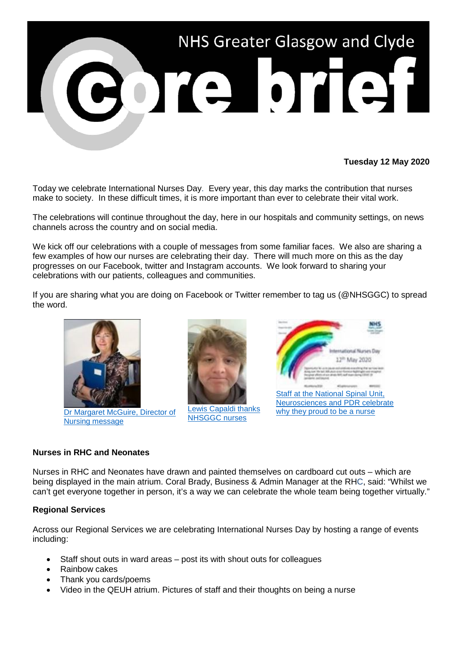

## **Tuesday 12 May 2020**

Today we celebrate International Nurses Day. Every year, this day marks the contribution that nurses make to society. In these difficult times, it is more important than ever to celebrate their vital work.

The celebrations will continue throughout the day, here in our hospitals and community settings, on news channels across the country and on social media.

We kick off our celebrations with a couple of messages from some familiar faces. We also are sharing a few examples of how our nurses are celebrating their day. There will much more on this as the day progresses on our Facebook, twitter and Instagram accounts. We look forward to sharing your celebrations with our patients, colleagues and communities.

If you are sharing what you are doing on Facebook or Twitter remember to tag us (@NHSGGC) to spread the word.



[Nursing message](https://www.youtube.com/watch?v=Q5vBOJ9a4c4)



[Lewis Capaldi thanks](https://www.youtube.com/watch?v=-zZXisCqQss)  [NHSGGC nurses](https://www.youtube.com/watch?v=-zZXisCqQss)



## **Nurses in RHC and Neonates**

Nurses in RHC and Neonates have drawn and painted themselves on cardboard cut outs – which are being displayed in the main atrium. Coral Brady, Business & Admin Manager at the RHC, said: "Whilst we can't get everyone together in person, it's a way we can celebrate the whole team being together virtually."

## **Regional Services**

Across our Regional Services we are celebrating International Nurses Day by hosting a range of events including:

- Staff shout outs in ward areas post its with shout outs for colleagues
- Rainbow cakes
- Thank you cards/poems
- Video in the QEUH atrium. Pictures of staff and their thoughts on being a nurse